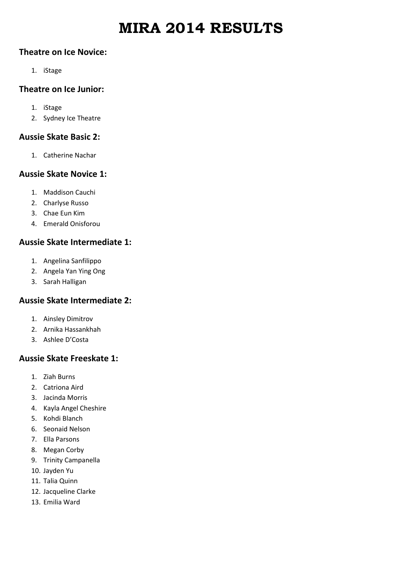# **MIRA 2014 RESULTS**

#### **Theatre on Ice Novice:**

1. iStage

## **Theatre on Ice Junior:**

- 1. iStage
- 2. Sydney Ice Theatre

# **Aussie Skate Basic 2:**

1. Catherine Nachar

# **Aussie Skate Novice 1:**

- 1. Maddison Cauchi
- 2. Charlyse Russo
- 3. Chae Eun Kim
- 4. Emerald Onisforou

# **Aussie Skate Intermediate 1:**

- 1. Angelina Sanfilippo
- 2. Angela Yan Ying Ong
- 3. Sarah Halligan

# **Aussie Skate Intermediate 2:**

- 1. Ainsley Dimitrov
- 2. Arnika Hassankhah
- 3. Ashlee D'Costa

# **Aussie Skate Freeskate 1:**

- 1. Ziah Burns
- 2. Catriona Aird
- 3. Jacinda Morris
- 4. Kayla Angel Cheshire
- 5. Kohdi Blanch
- 6. Seonaid Nelson
- 7. Ella Parsons
- 8. Megan Corby
- 9. Trinity Campanella
- 10. Jayden Yu
- 11. Talia Quinn
- 12. Jacqueline Clarke
- 13. Emilia Ward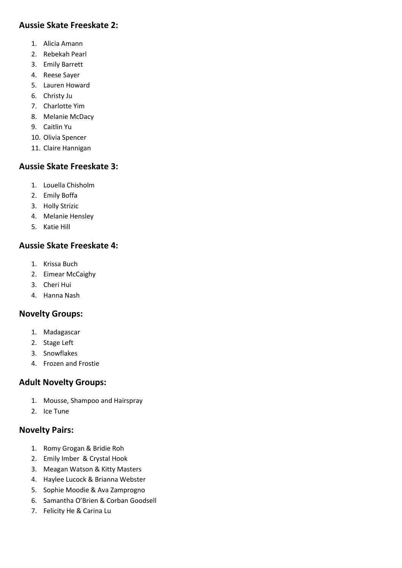# **Aussie Skate Freeskate 2:**

- 1. Alicia Amann
- 2. Rebekah Pearl
- 3. Emily Barrett
- 4. Reese Sayer
- 5. Lauren Howard
- 6. Christy Ju
- 7. Charlotte Yim
- 8. Melanie McDacy
- 9. Caitlin Yu
- 10. Olivia Spencer
- 11. Claire Hannigan

# **Aussie Skate Freeskate 3:**

- 1. Louella Chisholm
- 2. Emily Boffa
- 3. Holly Strizic
- 4. Melanie Hensley
- 5. Katie Hill

# **Aussie Skate Freeskate 4:**

- 1. Krissa Buch
- 2. Eimear McCaighy
- 3. Cheri Hui
- 4. Hanna Nash

# **Novelty Groups:**

- 1. Madagascar
- 2. Stage Left
- 3. Snowflakes
- 4. Frozen and Frostie

# **Adult Novelty Groups:**

- 1. Mousse, Shampoo and Hairspray
- 2. Ice Tune

# **Novelty Pairs:**

- 1. Romy Grogan & Bridie Roh
- 2. Emily Imber & Crystal Hook
- 3. Meagan Watson & Kitty Masters
- 4. Haylee Lucock & Brianna Webster
- 5. Sophie Moodie & Ava Zamprogno
- 6. Samantha O'Brien & Corban Goodsell
- 7. Felicity He & Carina Lu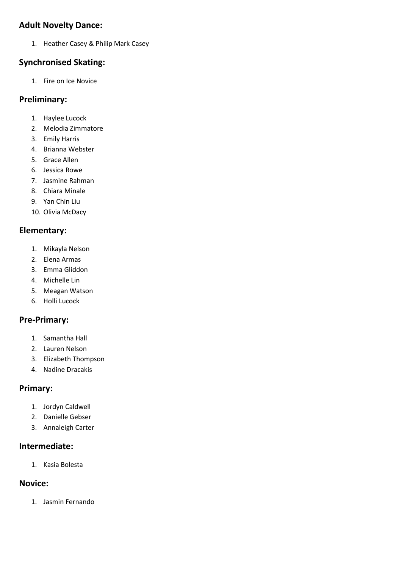### **Adult Novelty Dance:**

1. Heather Casey & Philip Mark Casey

#### **Synchronised Skating:**

1. Fire on Ice Novice

#### **Preliminary:**

- 1. Haylee Lucock
- 2. Melodia Zimmatore
- 3. Emily Harris
- 4. Brianna Webster
- 5. Grace Allen
- 6. Jessica Rowe
- 7. Jasmine Rahman
- 8. Chiara Minale
- 9. Yan Chin Liu
- 10. Olivia McDacy

#### **Elementary:**

- 1. Mikayla Nelson
- 2. Elena Armas
- 3. Emma Gliddon
- 4. Michelle Lin
- 5. Meagan Watson
- 6. Holli Lucock

# **Pre-Primary:**

- 1. Samantha Hall
- 2. Lauren Nelson
- 3. Elizabeth Thompson
- 4. Nadine Dracakis

# **Primary:**

- 1. Jordyn Caldwell
- 2. Danielle Gebser
- 3. Annaleigh Carter

#### **Intermediate:**

1. Kasia Bolesta

# **Novice:**

1. Jasmin Fernando